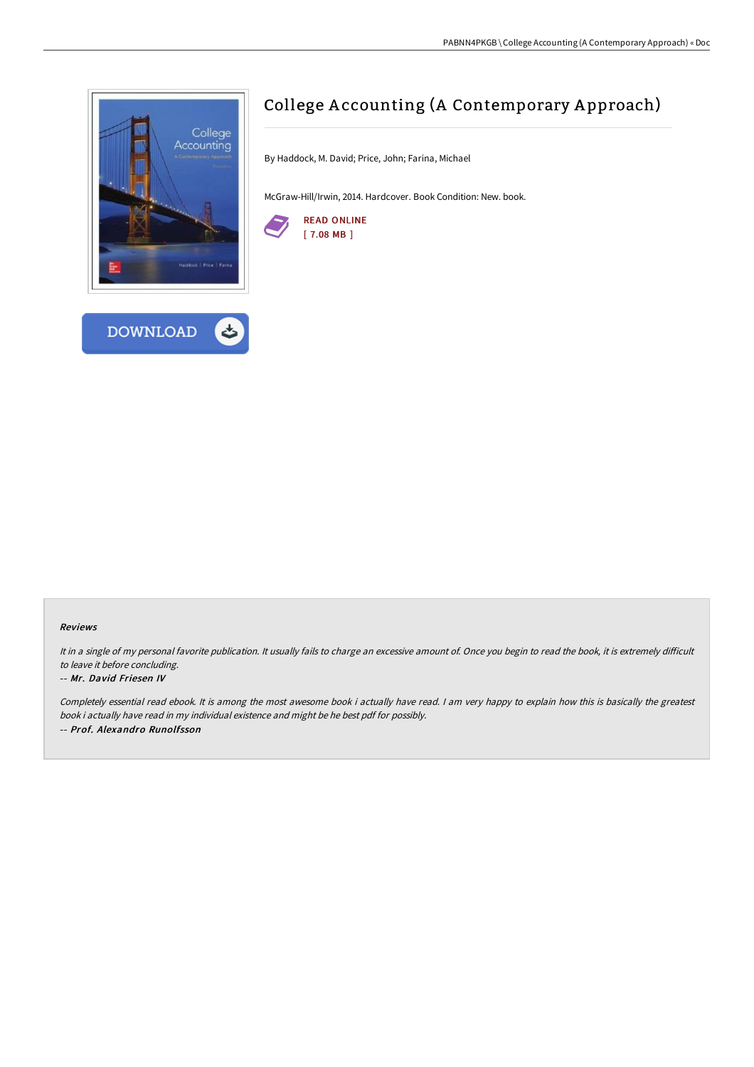



# College A ccounting (A Contemporary A pproach)

By Haddock, M. David; Price, John; Farina, Michael

McGraw-Hill/Irwin, 2014. Hardcover. Book Condition: New. book.



## Reviews

It in a single of my personal favorite publication. It usually fails to charge an excessive amount of. Once you begin to read the book, it is extremely difficult to leave it before concluding.

### -- Mr. David Friesen IV

Completely essential read ebook. It is among the most awesome book i actually have read. I am very happy to explain how this is basically the greatest book i actually have read in my individual existence and might be he best pdf for possibly. -- Prof. Alexandro Runolfsson